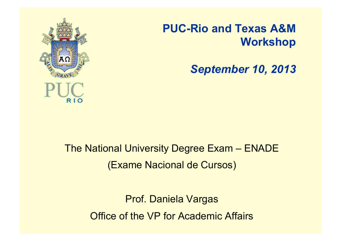

#### **PUC-Rio and Texas A&M Workshop**

*September 10, 2013*

The National University Degree Exam – ENADE (Exame Nacional de Cursos)

> Prof. Daniela Vargas Office of the VP for Academic Affairs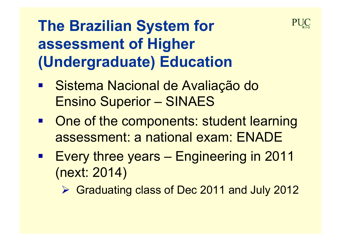

# **The Brazilian System for assessment of Higher (Undergraduate) Education**

- Sistema Nacional de Avaliação do Ensino Superior – SINAES
- One of the components: student learning assessment: a national exam: ENADE
- Every three years Engineering in 2011 (next: 2014)

Graduating class of Dec 2011 and July 2012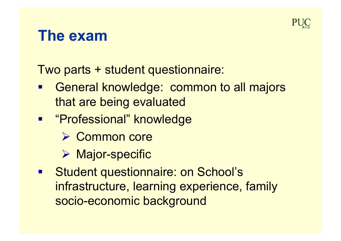

#### **The exam**

Two parts + student questionnaire:

- General knowledge: common to all majors that are being evaluated
- **E** "Professional" knowledge
	- **► Common core**
	- **▶ Major-specific**
- **E** Student questionnaire: on School's infrastructure, learning experience, family socio-economic background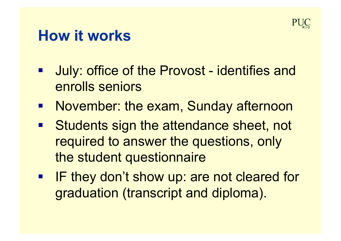

#### **How it works**

- July: office of the Provost identifies and enrolls seniors
- **November: the exam, Sunday afternoon**
- Students sign the attendance sheet, not required to answer the questions, only the student questionnaire
- **F** IF they don't show up: are not cleared for graduation (transcript and diploma).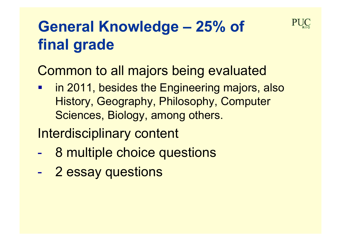

# **General Knowledge – 25% of final grade**

Common to all majors being evaluated

 in 2011, besides the Engineering majors, also History, Geography, Philosophy, Computer Sciences, Biology, among others.

Interdisciplinary content

- 8 multiple choice questions
- 2 essay questions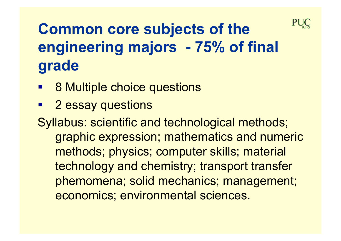

# **Common core subjects of the engineering majors - 75% of final grade**

- 8 Multiple choice questions
- 2 essay questions

Syllabus: scientific and technological methods; graphic expression; mathematics and numeric methods; physics; computer skills; material technology and chemistry; transport transfer phemomena; solid mechanics; management; economics; environmental sciences.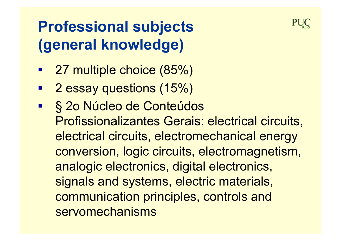## **Professional subjects (general knowledge)**

- 27 multiple choice (85%)
- 2 essay questions (15%)
- § 2o Núcleo de Conteúdos Profissionalizantes Gerais: electrical circuits, electrical circuits, electromechanical energy conversion, logic circuits, electromagnetism, analogic electronics, digital electronics, signals and systems, electric materials, communication principles, controls and servomechanisms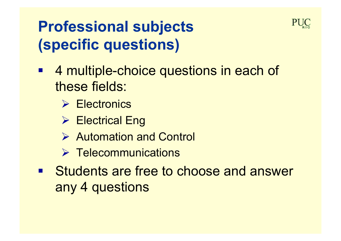## **Professional subjects (specific questions)**

- 4 multiple-choice questions in each of these fields:
	- **Electronics**
	- **► Electrical Eng**
	- Automation and Control
	- $\triangleright$  Telecommunications
- **E.** Students are free to choose and answer any 4 questions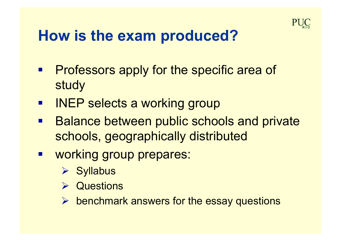

#### **How is the exam produced?**

- **Professors apply for the specific area of** study
- **INEP selects a working group**
- **Balance between public schools and private** schools, geographically distributed
- **working group prepares:** 
	- **▶ Syllabus**
	- **▶ Questions**
	- $\triangleright$  benchmark answers for the essay questions